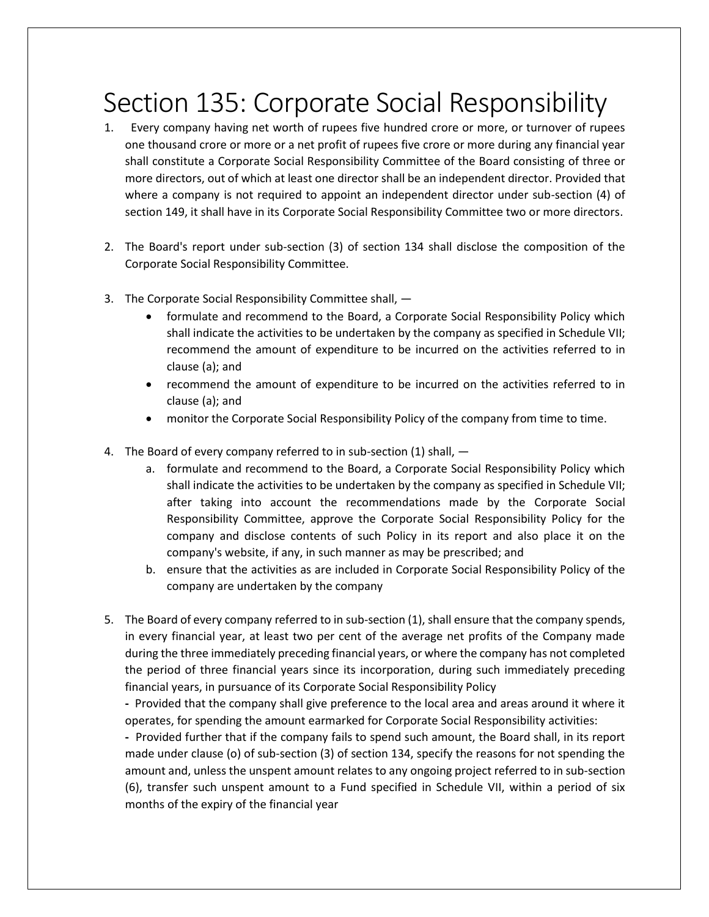## Section 135: Corporate Social Responsibility

- 1. Every company having net worth of rupees five hundred crore or more, or turnover of rupees one thousand crore or more or a net profit of rupees five crore or more during any financial year shall constitute a Corporate Social Responsibility Committee of the Board consisting of three or more directors, out of which at least one director shall be an independent director. Provided that where a company is not required to appoint an independent director under sub-section (4) of section 149, it shall have in its Corporate Social Responsibility Committee two or more directors.
- 2. The Board's report under sub-section (3) of section 134 shall disclose the composition of the Corporate Social Responsibility Committee.
- 3. The Corporate Social Responsibility Committee shall,
	- formulate and recommend to the Board, a Corporate Social Responsibility Policy which shall indicate the activities to be undertaken by the company as specified in Schedule VII; recommend the amount of expenditure to be incurred on the activities referred to in clause (a); and
	- recommend the amount of expenditure to be incurred on the activities referred to in clause (a); and
	- monitor the Corporate Social Responsibility Policy of the company from time to time.
- 4. The Board of every company referred to in sub-section (1) shall,
	- a. formulate and recommend to the Board, a Corporate Social Responsibility Policy which shall indicate the activities to be undertaken by the company as specified in Schedule VII; after taking into account the recommendations made by the Corporate Social Responsibility Committee, approve the Corporate Social Responsibility Policy for the company and disclose contents of such Policy in its report and also place it on the company's website, if any, in such manner as may be prescribed; and
	- b. ensure that the activities as are included in Corporate Social Responsibility Policy of the company are undertaken by the company
- 5. The Board of every company referred to in sub-section (1), shall ensure that the company spends, in every financial year, at least two per cent of the average net profits of the Company made during the three immediately preceding financial years, or where the company has not completed the period of three financial years since its incorporation, during such immediately preceding financial years, in pursuance of its Corporate Social Responsibility Policy

**-** Provided that the company shall give preference to the local area and areas around it where it operates, for spending the amount earmarked for Corporate Social Responsibility activities:

**-** Provided further that if the company fails to spend such amount, the Board shall, in its report made under clause (o) of sub-section (3) of section 134, specify the reasons for not spending the amount and, unless the unspent amount relates to any ongoing project referred to in sub-section (6), transfer such unspent amount to a Fund specified in Schedule VII, within a period of six months of the expiry of the financial year